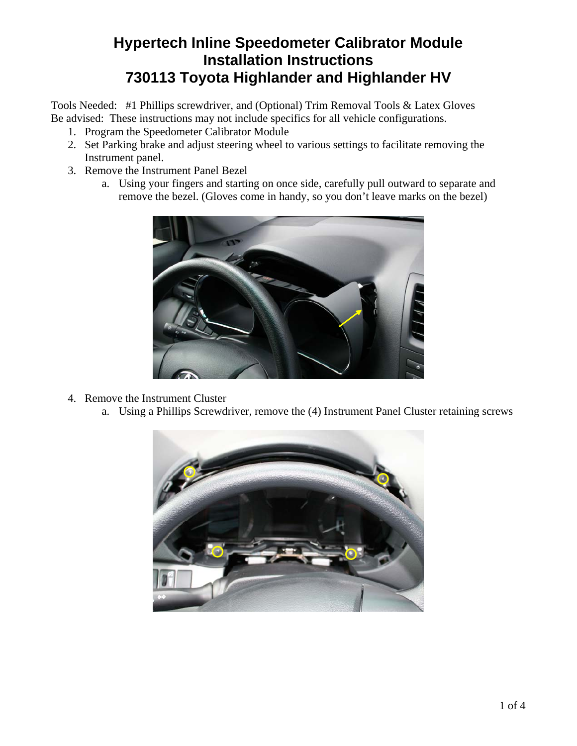## **Hypertech Inline Speedometer Calibrator Module Installation Instructions 730113 Toyota Highlander and Highlander HV**

Tools Needed: #1 Phillips screwdriver, and (Optional) Trim Removal Tools & Latex Gloves Be advised: These instructions may not include specifics for all vehicle configurations.

- 1. Program the Speedometer Calibrator Module
- 2. Set Parking brake and adjust steering wheel to various settings to facilitate removing the Instrument panel.
- 3. Remove the Instrument Panel Bezel
	- a. Using your fingers and starting on once side, carefully pull outward to separate and remove the bezel. (Gloves come in handy, so you don't leave marks on the bezel)



- 4. Remove the Instrument Cluster
	- a. Using a Phillips Screwdriver, remove the (4) Instrument Panel Cluster retaining screws

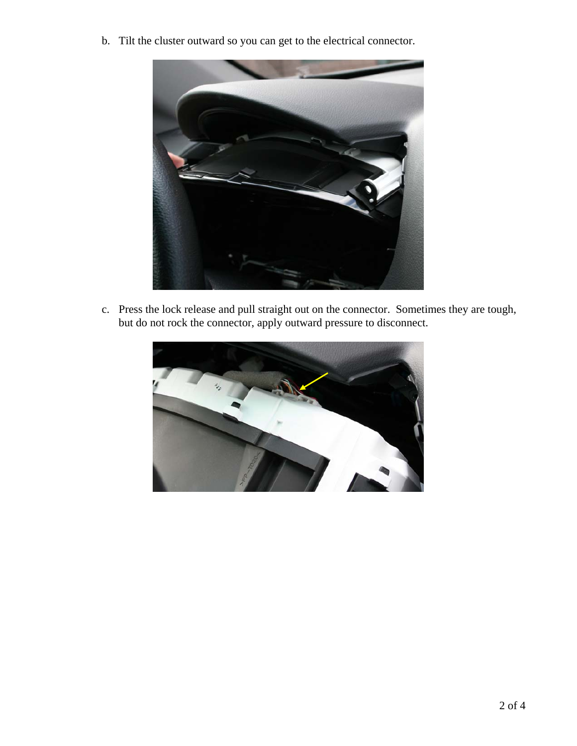b. Tilt the cluster outward so you can get to the electrical connector.



c. Press the lock release and pull straight out on the connector. Sometimes they are tough, but do not rock the connector, apply outward pressure to disconnect.

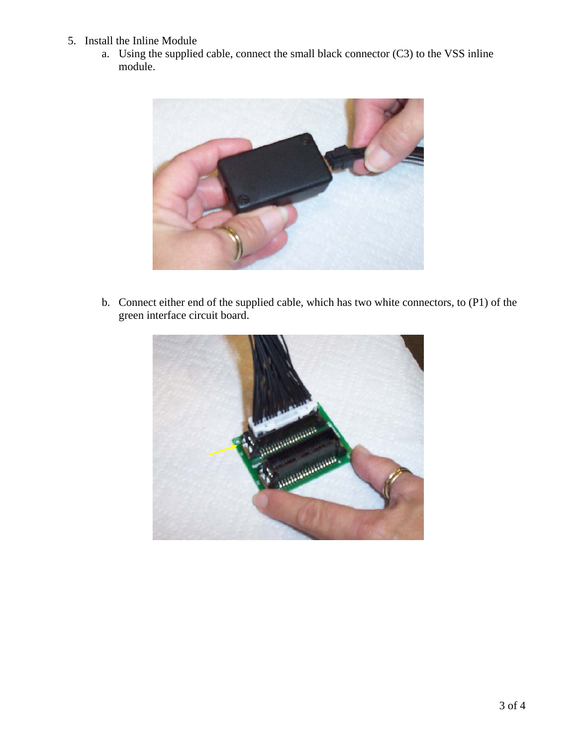- 5. Install the Inline Module
	- a. Using the supplied cable, connect the small black connector (C3) to the VSS inline module.



b. Connect either end of the supplied cable, which has two white connectors, to (P1) of the green interface circuit board.